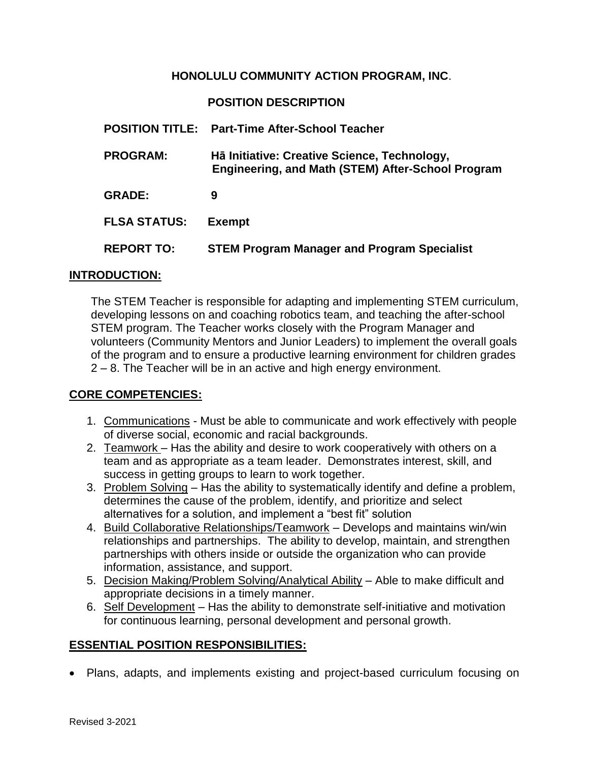### **HONOLULU COMMUNITY ACTION PROGRAM, INC**.

### **POSITION DESCRIPTION**

|                     | <b>POSITION TITLE:</b> Part-Time After-School Teacher                                                    |
|---------------------|----------------------------------------------------------------------------------------------------------|
| <b>PROGRAM:</b>     | Hā Initiative: Creative Science, Technology,<br><b>Engineering, and Math (STEM) After-School Program</b> |
| <b>GRADE:</b>       | 9                                                                                                        |
| <b>FLSA STATUS:</b> | <b>Exempt</b>                                                                                            |
| <b>REPORT TO:</b>   | <b>STEM Program Manager and Program Specialist</b>                                                       |

#### **INTRODUCTION:**

The STEM Teacher is responsible for adapting and implementing STEM curriculum, developing lessons on and coaching robotics team, and teaching the after-school STEM program. The Teacher works closely with the Program Manager and volunteers (Community Mentors and Junior Leaders) to implement the overall goals of the program and to ensure a productive learning environment for children grades 2 – 8. The Teacher will be in an active and high energy environment.

### **CORE COMPETENCIES:**

- 1. Communications Must be able to communicate and work effectively with people of diverse social, economic and racial backgrounds.
- 2. Teamwork Has the ability and desire to work cooperatively with others on a team and as appropriate as a team leader. Demonstrates interest, skill, and success in getting groups to learn to work together.
- 3. Problem Solving Has the ability to systematically identify and define a problem, determines the cause of the problem, identify, and prioritize and select alternatives for a solution, and implement a "best fit" solution
- 4. Build Collaborative Relationships/Teamwork Develops and maintains win/win relationships and partnerships. The ability to develop, maintain, and strengthen partnerships with others inside or outside the organization who can provide information, assistance, and support.
- 5. Decision Making/Problem Solving/Analytical Ability Able to make difficult and appropriate decisions in a timely manner.
- 6. Self Development Has the ability to demonstrate self-initiative and motivation for continuous learning, personal development and personal growth.

### **ESSENTIAL POSITION RESPONSIBILITIES:**

Plans, adapts, and implements existing and project-based curriculum focusing on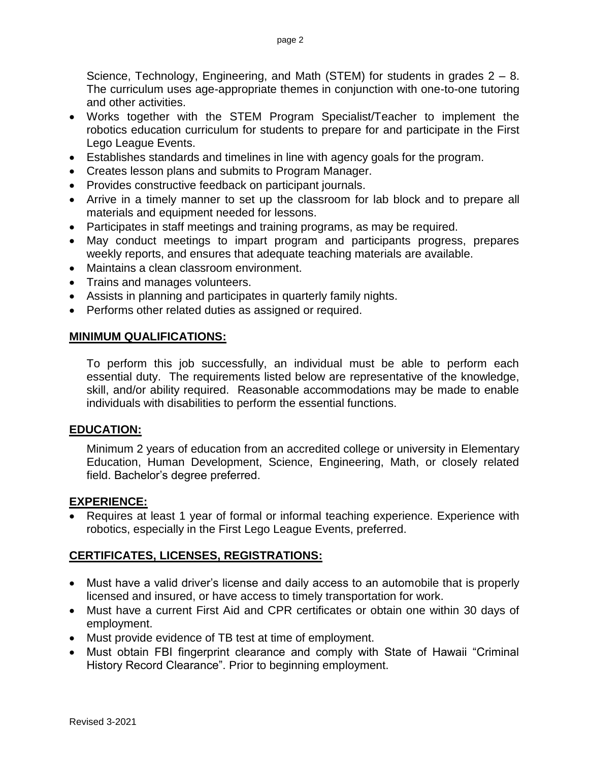Science, Technology, Engineering, and Math (STEM) for students in grades 2 – 8. The curriculum uses age-appropriate themes in conjunction with one-to-one tutoring and other activities.

- Works together with the STEM Program Specialist/Teacher to implement the robotics education curriculum for students to prepare for and participate in the First Lego League Events.
- Establishes standards and timelines in line with agency goals for the program.
- Creates lesson plans and submits to Program Manager.
- Provides constructive feedback on participant journals.
- Arrive in a timely manner to set up the classroom for lab block and to prepare all materials and equipment needed for lessons.
- Participates in staff meetings and training programs, as may be required.
- May conduct meetings to impart program and participants progress, prepares weekly reports, and ensures that adequate teaching materials are available.
- Maintains a clean classroom environment.
- Trains and manages volunteers.
- Assists in planning and participates in quarterly family nights.
- Performs other related duties as assigned or required.

### **MINIMUM QUALIFICATIONS:**

To perform this job successfully, an individual must be able to perform each essential duty. The requirements listed below are representative of the knowledge, skill, and/or ability required. Reasonable accommodations may be made to enable individuals with disabilities to perform the essential functions.

### **EDUCATION:**

Minimum 2 years of education from an accredited college or university in Elementary Education, Human Development, Science, Engineering, Math, or closely related field. Bachelor's degree preferred.

### **EXPERIENCE:**

 Requires at least 1 year of formal or informal teaching experience. Experience with robotics, especially in the First Lego League Events, preferred.

### **CERTIFICATES, LICENSES, REGISTRATIONS:**

- Must have a valid driver's license and daily access to an automobile that is properly licensed and insured, or have access to timely transportation for work.
- Must have a current First Aid and CPR certificates or obtain one within 30 days of employment.
- Must provide evidence of TB test at time of employment.
- Must obtain FBI fingerprint clearance and comply with State of Hawaii "Criminal History Record Clearance". Prior to beginning employment.